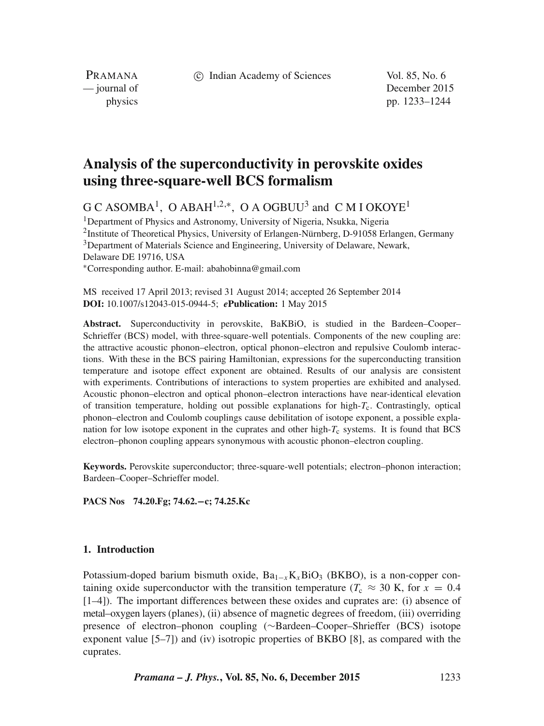c Indian Academy of Sciences Vol. 85, No. 6

PRAMANA<br>
— journal of

December 2015 physics pp. 1233–1244

# **Analysis of the superconductivity in perovskite oxides using three-square-well BCS formalism**

 $G C A S O M B A<sup>1</sup>$ , O ABAH<sup>1,2,\*</sup>, O A OGBUU<sup>3</sup> and C M I OKOYE<sup>1</sup>

<sup>1</sup> Department of Physics and Astronomy, University of Nigeria, Nsukka, Nigeria 2Institute of Theoretical Physics, University of Erlangen-Nürnberg, D-91058 Erlangen, Germany <sup>3</sup>Department of Materials Science and Engineering, University of Delaware, Newark, Delaware DE 19716, USA ∗Corresponding author. E-mail: abahobinna@gmail.com

MS received 17 April 2013; revised 31 August 2014; accepted 26 September 2014 **DOI:** 10.1007/s12043-015-0944-5; *e***Publication:** 1 May 2015

**Abstract.** Superconductivity in perovskite, BaKBiO, is studied in the Bardeen–Cooper– Schrieffer (BCS) model, with three-square-well potentials. Components of the new coupling are: the attractive acoustic phonon–electron, optical phonon–electron and repulsive Coulomb interactions. With these in the BCS pairing Hamiltonian, expressions for the superconducting transition temperature and isotope effect exponent are obtained. Results of our analysis are consistent with experiments. Contributions of interactions to system properties are exhibited and analysed. Acoustic phonon–electron and optical phonon–electron interactions have near-identical elevation of transition temperature, holding out possible explanations for high- $T_c$ . Contrastingly, optical phonon–electron and Coulomb couplings cause debilitation of isotope exponent, a possible explanation for low isotope exponent in the cuprates and other high- $T_c$  systems. It is found that BCS electron–phonon coupling appears synonymous with acoustic phonon–electron coupling.

**Keywords.** Perovskite superconductor; three-square-well potentials; electron–phonon interaction; Bardeen–Cooper–Schrieffer model.

**PACS Nos 74.20.Fg; 74.62.−c; 74.25.Kc**

# **1. Introduction**

Potassium-doped barium bismuth oxide,  $Ba_{1-x}K_xBiO_3$  (BKBO), is a non-copper containing oxide superconductor with the transition temperature ( $T_c \approx 30$  K, for  $x = 0.4$ ) [1–4]). The important differences between these oxides and cuprates are: (i) absence of metal–oxygen layers (planes), (ii) absence of magnetic degrees of freedom, (iii) overriding presence of electron–phonon coupling (∼Bardeen–Cooper–Shrieffer (BCS) isotope exponent value [5–7]) and (iv) isotropic properties of BKBO [8], as compared with the cuprates.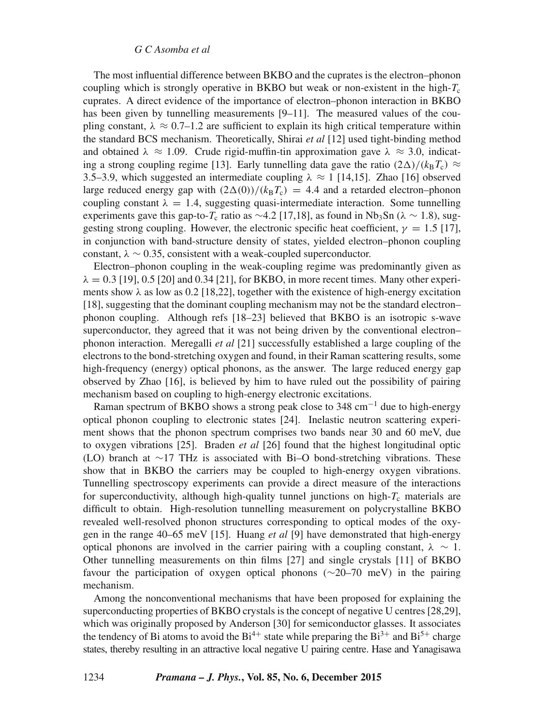The most influential difference between BKBO and the cuprates is the electron–phonon coupling which is strongly operative in BKBO but weak or non-existent in the high- $T_c$ cuprates. A direct evidence of the importance of electron–phonon interaction in BKBO has been given by tunnelling measurements [9–11]. The measured values of the coupling constant,  $\lambda \approx 0.7$ –1.2 are sufficient to explain its high critical temperature within the standard BCS mechanism. Theoretically, Shirai *et al* [12] used tight-binding method and obtained  $\lambda \approx 1.09$ . Crude rigid-muffin-tin approximation gave  $\lambda \approx 3.0$ , indicating a strong coupling regime [13]. Early tunnelling data gave the ratio  $(2\Delta)/(k_{\rm B}T_{\rm c}) \approx$ 3.5–3.9, which suggested an intermediate coupling  $\lambda \approx 1$  [14,15]. Zhao [16] observed large reduced energy gap with  $(2\Delta(0))/(k_BT_c) = 4.4$  and a retarded electron–phonon coupling constant  $\lambda = 1.4$ , suggesting quasi-intermediate interaction. Some tunnelling experiments gave this gap-to- $T_c$  ratio as ~4.2 [17,18], as found in Nb<sub>3</sub>Sn ( $\lambda \sim 1.8$ ), suggesting strong coupling. However, the electronic specific heat coefficient,  $\gamma = 1.5$  [17], in conjunction with band-structure density of states, yielded electron–phonon coupling constant,  $\lambda \sim 0.35$ , consistent with a weak-coupled superconductor.

Electron–phonon coupling in the weak-coupling regime was predominantly given as  $\lambda = 0.3$  [19], 0.5 [20] and 0.34 [21], for BKBO, in more recent times. Many other experiments show  $\lambda$  as low as 0.2 [18,22], together with the existence of high-energy excitation [18], suggesting that the dominant coupling mechanism may not be the standard electron– phonon coupling. Although refs [18–23] believed that BKBO is an isotropic s-wave superconductor, they agreed that it was not being driven by the conventional electron– phonon interaction. Meregalli *et al* [21] successfully established a large coupling of the electrons to the bond-stretching oxygen and found, in their Raman scattering results, some high-frequency (energy) optical phonons, as the answer. The large reduced energy gap observed by Zhao [16], is believed by him to have ruled out the possibility of pairing mechanism based on coupling to high-energy electronic excitations.

Raman spectrum of BKBO shows a strong peak close to 348 cm<sup>-1</sup> due to high-energy optical phonon coupling to electronic states [24]. Inelastic neutron scattering experiment shows that the phonon spectrum comprises two bands near 30 and 60 meV, due to oxygen vibrations [25]. Braden *et al* [26] found that the highest longitudinal optic (LO) branch at ∼17 THz is associated with Bi–O bond-stretching vibrations. These show that in BKBO the carriers may be coupled to high-energy oxygen vibrations. Tunnelling spectroscopy experiments can provide a direct measure of the interactions for superconductivity, although high-quality tunnel junctions on high- $T_c$  materials are difficult to obtain. High-resolution tunnelling measurement on polycrystalline BKBO revealed well-resolved phonon structures corresponding to optical modes of the oxygen in the range 40–65 meV [15]. Huang *et al* [9] have demonstrated that high-energy optical phonons are involved in the carrier pairing with a coupling constant,  $\lambda \sim 1$ . Other tunnelling measurements on thin films [27] and single crystals [11] of BKBO favour the participation of oxygen optical phonons (∼20–70 meV) in the pairing mechanism.

Among the nonconventional mechanisms that have been proposed for explaining the superconducting properties of BKBO crystals is the concept of negative U centres [28,29], which was originally proposed by Anderson [30] for semiconductor glasses. It associates the tendency of Bi atoms to avoid the  $Bi^{4+}$  state while preparing the  $Bi^{3+}$  and  $Bi^{5+}$  charge states, thereby resulting in an attractive local negative U pairing centre. Hase and Yanagisawa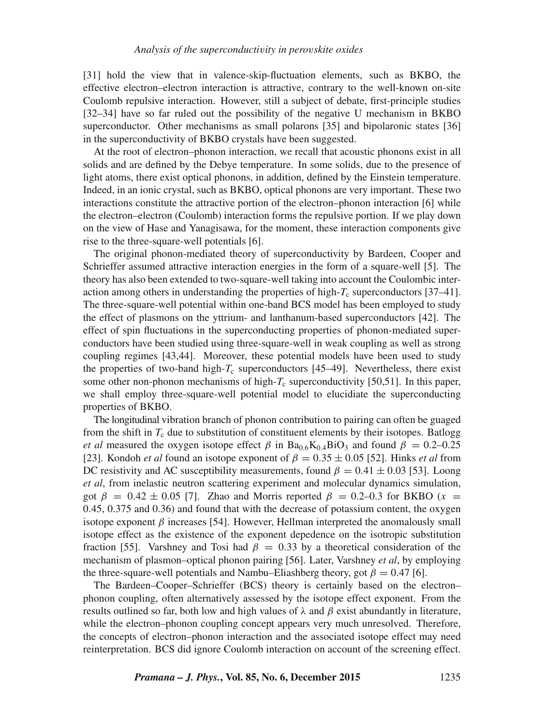[31] hold the view that in valence-skip-fluctuation elements, such as BKBO, the effective electron–electron interaction is attractive, contrary to the well-known on-site Coulomb repulsive interaction. However, still a subject of debate, first-principle studies [32–34] have so far ruled out the possibility of the negative U mechanism in BKBO superconductor. Other mechanisms as small polarons [35] and bipolaronic states [36] in the superconductivity of BKBO crystals have been suggested.

At the root of electron–phonon interaction, we recall that acoustic phonons exist in all solids and are defined by the Debye temperature. In some solids, due to the presence of light atoms, there exist optical phonons, in addition, defined by the Einstein temperature. Indeed, in an ionic crystal, such as BKBO, optical phonons are very important. These two interactions constitute the attractive portion of the electron–phonon interaction [6] while the electron–electron (Coulomb) interaction forms the repulsive portion. If we play down on the view of Hase and Yanagisawa, for the moment, these interaction components give rise to the three-square-well potentials [6].

The original phonon-mediated theory of superconductivity by Bardeen, Cooper and Schrieffer assumed attractive interaction energies in the form of a square-well [5]. The theory has also been extended to two-square-well taking into account the Coulombic interaction among others in understanding the properties of high- $T_c$  superconductors [37–41]. The three-square-well potential within one-band BCS model has been employed to study the effect of plasmons on the yttrium- and lanthanum-based superconductors [42]. The effect of spin fluctuations in the superconducting properties of phonon-mediated superconductors have been studied using three-square-well in weak coupling as well as strong coupling regimes [43,44]. Moreover, these potential models have been used to study the properties of two-band high- $T_c$  superconductors [45–49]. Nevertheless, there exist some other non-phonon mechanisms of high- $T_c$  superconductivity [50,51]. In this paper, we shall employ three-square-well potential model to elucidiate the superconducting properties of BKBO.

The longitudinal vibration branch of phonon contribution to pairing can often be guaged from the shift in  $T_c$  due to substitution of constituent elements by their isotopes. Batlogg *et al* measured the oxygen isotope effect  $\beta$  in Ba<sub>0.6</sub>K<sub>0.4</sub>BiO<sub>3</sub> and found  $\beta = 0.2$ –0.25 [23]. Kondoh *et al* found an isotope exponent of  $\beta = 0.35 \pm 0.05$  [52]. Hinks *et al* from DC resistivity and AC susceptibility measurements, found  $\beta = 0.41 \pm 0.03$  [53]. Loong *et al*, from inelastic neutron scattering experiment and molecular dynamics simulation, got  $\beta = 0.42 \pm 0.05$  [7]. Zhao and Morris reported  $\beta = 0.2{\text -}0.3$  for BKBO (x = 0.45, 0.375 and 0.36) and found that with the decrease of potassium content, the oxygen isotope exponent  $\beta$  increases [54]. However, Hellman interpreted the anomalously small isotope effect as the existence of the exponent depedence on the isotropic substitution fraction [55]. Varshney and Tosi had  $\beta = 0.33$  by a theoretical consideration of the mechanism of plasmon–optical phonon pairing [56]. Later, Varshney *et al*, by employing the three-square-well potentials and Nambu–Eliashberg theory, got  $\beta = 0.47$  [6].

The Bardeen–Cooper–Schrieffer (BCS) theory is certainly based on the electron– phonon coupling, often alternatively assessed by the isotope effect exponent. From the results outlined so far, both low and high values of  $\lambda$  and  $\beta$  exist abundantly in literature, while the electron–phonon coupling concept appears very much unresolved. Therefore, the concepts of electron–phonon interaction and the associated isotope effect may need reinterpretation. BCS did ignore Coulomb interaction on account of the screening effect.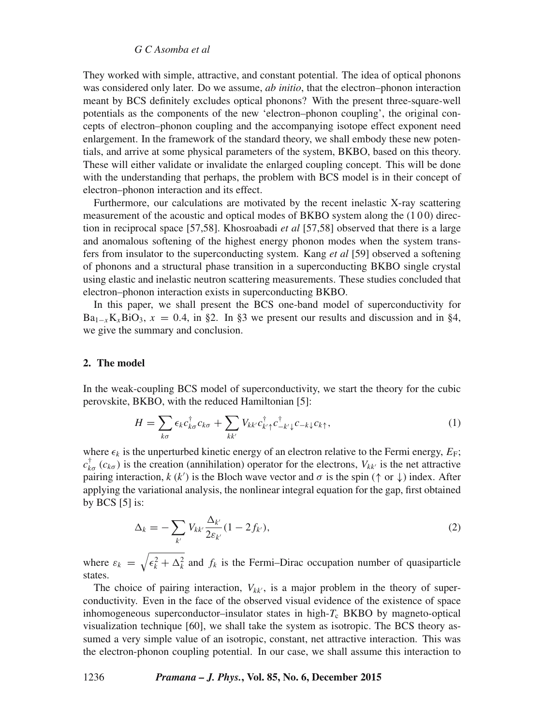#### *G C Asomba et al*

They worked with simple, attractive, and constant potential. The idea of optical phonons was considered only later. Do we assume, *ab initio*, that the electron–phonon interaction meant by BCS definitely excludes optical phonons? With the present three-square-well potentials as the components of the new 'electron–phonon coupling', the original concepts of electron–phonon coupling and the accompanying isotope effect exponent need enlargement. In the framework of the standard theory, we shall embody these new potentials, and arrive at some physical parameters of the system, BKBO, based on this theory. These will either validate or invalidate the enlarged coupling concept. This will be done with the understanding that perhaps, the problem with BCS model is in their concept of electron–phonon interaction and its effect.

Furthermore, our calculations are motivated by the recent inelastic X-ray scattering measurement of the acoustic and optical modes of BKBO system along the (1 0 0) direction in reciprocal space [57,58]. Khosroabadi *et al* [57,58] observed that there is a large and anomalous softening of the highest energy phonon modes when the system transfers from insulator to the superconducting system. Kang *et al* [59] observed a softening of phonons and a structural phase transition in a superconducting BKBO single crystal using elastic and inelastic neutron scattering measurements. These studies concluded that electron–phonon interaction exists in superconducting BKBO.

In this paper, we shall present the BCS one-band model of superconductivity for  $Ba_{1-x}K_xBiO_3$ ,  $x = 0.4$ , in §2. In §3 we present our results and discussion and in §4, we give the summary and conclusion.

## **2. The model**

In the weak-coupling BCS model of superconductivity, we start the theory for the cubic perovskite, BKBO, with the reduced Hamiltonian [5]:

$$
H = \sum_{k\sigma} \epsilon_k c_{k\sigma}^\dagger c_{k\sigma} + \sum_{kk'} V_{kk'} c_{k'\uparrow}^\dagger c_{-k'\downarrow}^{\dagger} c_{-k\downarrow} c_{k\uparrow},\tag{1}
$$

where  $\epsilon_k$  is the unperturbed kinetic energy of an electron relative to the Fermi energy,  $E_F$ ;  $c_{k\sigma}^{\dagger}(c_{k\sigma})$  is the creation (annihilation) operator for the electrons,  $V_{kk'}$  is the net attractive pairing interaction,  $k(k')$  is the Bloch wave vector and  $\sigma$  is the spin ( $\uparrow$  or  $\downarrow$ ) index. After applying the variational analysis, the nonlinear integral equation for the gap, first obtained by BCS [5] is:

$$
\Delta_k = -\sum_{k'} V_{kk'} \frac{\Delta_{k'}}{2\varepsilon_{k'}} (1 - 2f_{k'}),\tag{2}
$$

where  $\varepsilon_k = \sqrt{\epsilon_k^2 + \Delta_k^2}$  and  $f_k$  is the Fermi–Dirac occupation number of quasiparticle states.

The choice of pairing interaction,  $V_{kk'}$ , is a major problem in the theory of superconductivity. Even in the face of the observed visual evidence of the existence of space inhomogeneous superconductor-insulator states in high- $T_c$  BKBO by magneto-optical visualization technique [60], we shall take the system as isotropic. The BCS theory assumed a very simple value of an isotropic, constant, net attractive interaction. This was the electron-phonon coupling potential. In our case, we shall assume this interaction to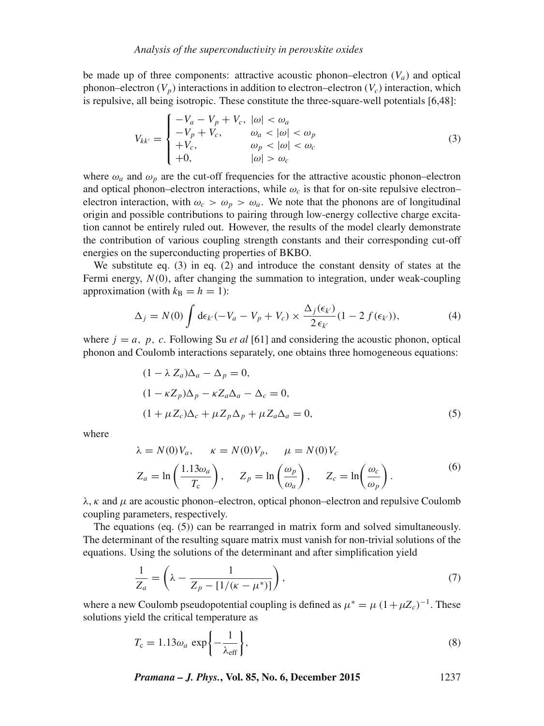be made up of three components: attractive acoustic phonon–electron  $(V_a)$  and optical phonon–electron  $(V_p)$  interactions in addition to electron–electron  $(V_c)$  interaction, which is repulsive, all being isotropic. These constitute the three-square-well potentials [6,48]:

$$
V_{kk'} = \begin{cases} -V_a - V_p + V_c, & |\omega| < \omega_a \\ -V_p + V_c, & \omega_a < |\omega| < \omega_p \\ +V_c, & \omega_p < |\omega| < \omega_c \\ +0, & |\omega| > \omega_c \end{cases} \tag{3}
$$

where  $\omega_a$  and  $\omega_p$  are the cut-off frequencies for the attractive acoustic phonon–electron and optical phonon–electron interactions, while  $\omega_c$  is that for on-site repulsive electron– electron interaction, with  $\omega_c > \omega_p > \omega_a$ . We note that the phonons are of longitudinal origin and possible contributions to pairing through low-energy collective charge excitation cannot be entirely ruled out. However, the results of the model clearly demonstrate the contribution of various coupling strength constants and their corresponding cut-off energies on the superconducting properties of BKBO.

We substitute eq. (3) in eq. (2) and introduce the constant density of states at the Fermi energy,  $N(0)$ , after changing the summation to integration, under weak-coupling approximation (with  $k_B = h = 1$ ):

$$
\Delta_j = N(0) \int d\epsilon_{k'} (-V_a - V_p + V_c) \times \frac{\Delta_j(\epsilon_{k'})}{2 \epsilon_{k'}} (1 - 2 f(\epsilon_{k'})), \tag{4}
$$

where  $j = a$ , p, c. Following Su *et al* [61] and considering the acoustic phonon, optical phonon and Coulomb interactions separately, one obtains three homogeneous equations:

$$
(1 - \lambda Z_a)\Delta_a - \Delta_p = 0,
$$
  
\n
$$
(1 - \kappa Z_p)\Delta_p - \kappa Z_a \Delta_a - \Delta_c = 0,
$$
  
\n
$$
(1 + \mu Z_c)\Delta_c + \mu Z_p \Delta_p + \mu Z_a \Delta_a = 0,
$$
\n(5)

where

$$
\lambda = N(0)V_a, \qquad \kappa = N(0)V_p, \qquad \mu = N(0)V_c
$$
  

$$
Z_a = \ln\left(\frac{1.13\omega_a}{T_c}\right), \qquad Z_p = \ln\left(\frac{\omega_p}{\omega_a}\right), \qquad Z_c = \ln\left(\frac{\omega_c}{\omega_p}\right).
$$
 (6)

 $\lambda$ ,  $\kappa$  and  $\mu$  are acoustic phonon–electron, optical phonon–electron and repulsive Coulomb coupling parameters, respectively.

The equations (eq. (5)) can be rearranged in matrix form and solved simultaneously. The determinant of the resulting square matrix must vanish for non-trivial solutions of the equations. Using the solutions of the determinant and after simplification yield

$$
\frac{1}{Z_a} = \left(\lambda - \frac{1}{Z_p - [1/(\kappa - \mu^*)]}\right),\tag{7}
$$

where a new Coulomb pseudopotential coupling is defined as  $\mu^* = \mu (1 + \mu Z_c)^{-1}$ . These solutions yield the critical temperature as

$$
T_{\rm c} = 1.13\omega_a \exp\left\{-\frac{1}{\lambda_{\rm eff}}\right\},\tag{8}
$$

*Pramana – J. Phys.***, Vol. 85, No. 6, December 2015** 1237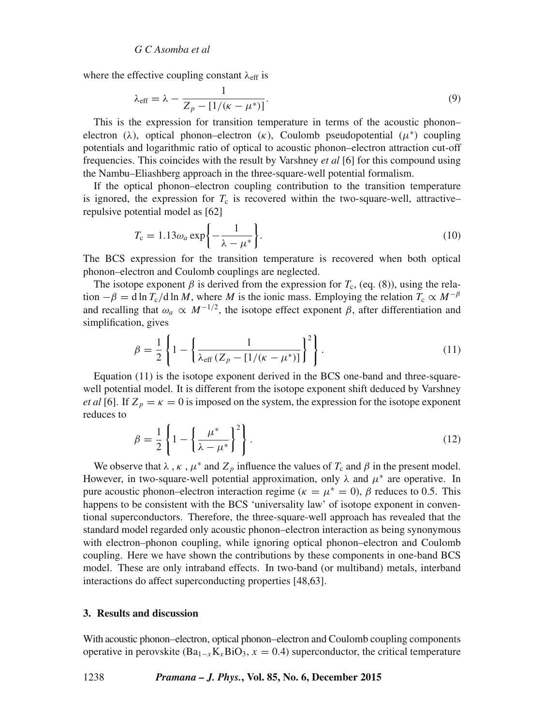where the effective coupling constant  $\lambda_{\text{eff}}$  is

$$
\lambda_{\text{eff}} = \lambda - \frac{1}{Z_p - [1/(\kappa - \mu^*)]}.
$$
\n(9)

This is the expression for transition temperature in terms of the acoustic phonon– electron (λ), optical phonon–electron (κ), Coulomb pseudopotential ( $\mu^*$ ) coupling potentials and logarithmic ratio of optical to acoustic phonon–electron attraction cut-off frequencies. This coincides with the result by Varshney *et al* [6] for this compound using the Nambu–Eliashberg approach in the three-square-well potential formalism.

If the optical phonon–electron coupling contribution to the transition temperature is ignored, the expression for  $T_c$  is recovered within the two-square-well, attractive– repulsive potential model as [62]

$$
T_{\rm c} = 1.13\omega_a \exp\left\{-\frac{1}{\lambda - \mu^*}\right\}.
$$
 (10)

The BCS expression for the transition temperature is recovered when both optical phonon–electron and Coulomb couplings are neglected.

The isotope exponent  $\beta$  is derived from the expression for  $T_c$ , (eq. (8)), using the relation  $-\beta = d \ln T_c/d \ln M$ , where M is the ionic mass. Employing the relation  $T_c \propto M^{-\beta}$ and recalling that  $\omega_a \propto M^{-1/2}$ , the isotope effect exponent  $\beta$ , after differentiation and simplification, gives

$$
\beta = \frac{1}{2} \left\{ 1 - \left\{ \frac{1}{\lambda_{\text{eff}} \left( Z_p - [1/(\kappa - \mu^*) \right]} \right\}^2 \right\}.
$$
\n(11)

Equation (11) is the isotope exponent derived in the BCS one-band and three-squarewell potential model. It is different from the isotope exponent shift deduced by Varshney *et al* [6]. If  $Z_p = \kappa = 0$  is imposed on the system, the expression for the isotope exponent reduces to

$$
\beta = \frac{1}{2} \left\{ 1 - \left\{ \frac{\mu^*}{\lambda - \mu^*} \right\}^2 \right\}.
$$
\n(12)

We observe that  $\lambda$ ,  $\kappa$ ,  $\mu^*$  and  $Z_p$  influence the values of  $T_c$  and  $\beta$  in the present model. However, in two-square-well potential approximation, only  $\lambda$  and  $\mu^*$  are operative. In pure acoustic phonon–electron interaction regime ( $\kappa = \mu^* = 0$ ),  $\beta$  reduces to 0.5. This happens to be consistent with the BCS 'universality law' of isotope exponent in conventional superconductors. Therefore, the three-square-well approach has revealed that the standard model regarded only acoustic phonon–electron interaction as being synonymous with electron–phonon coupling, while ignoring optical phonon–electron and Coulomb coupling. Here we have shown the contributions by these components in one-band BCS model. These are only intraband effects. In two-band (or multiband) metals, interband interactions do affect superconducting properties [48,63].

## **3. Results and discussion**

With acoustic phonon–electron, optical phonon–electron and Coulomb coupling components operative in perovskite (Ba<sub>1−x</sub>K<sub>x</sub>BiO<sub>3</sub>, x = 0.4) superconductor, the critical temperature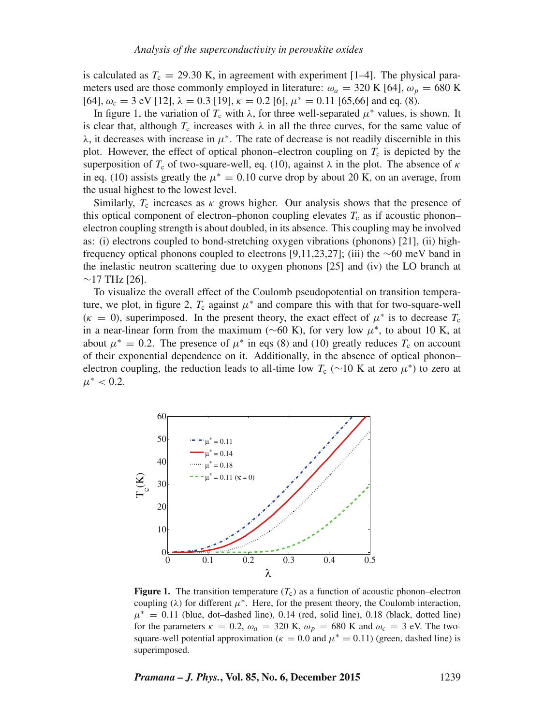is calculated as  $T_c = 29.30$  K, in agreement with experiment [1–4]. The physical parameters used are those commonly employed in literature:  $\omega_a = 320 \text{ K}$  [64],  $\omega_p = 680 \text{ K}$ [64],  $\omega_c = 3$  eV [12],  $\lambda = 0.3$  [19],  $\kappa = 0.2$  [6],  $\mu^* = 0.11$  [65,66] and eq. (8).

In figure 1, the variation of  $T_c$  with  $\lambda$ , for three well-separated  $\mu^*$  values, is shown. It is clear that, although  $T_c$  increases with  $\lambda$  in all the three curves, for the same value of λ, it decreases with increase in μ∗. The rate of decrease is not readily discernible in this plot. However, the effect of optical phonon–electron coupling on  $T_c$  is depicted by the superposition of  $T_c$  of two-square-well, eq. (10), against  $\lambda$  in the plot. The absence of  $\kappa$ in eq. (10) assists greatly the  $\mu^* = 0.10$  curve drop by about 20 K, on an average, from the usual highest to the lowest level.

Similarly,  $T_c$  increases as  $\kappa$  grows higher. Our analysis shows that the presence of this optical component of electron–phonon coupling elevates  $T_c$  as if acoustic phonon– electron coupling strength is about doubled, in its absence. This coupling may be involved as: (i) electrons coupled to bond-stretching oxygen vibrations (phonons) [21], (ii) highfrequency optical phonons coupled to electrons [9,11,23,27]; (iii) the ∼60 meV band in the inelastic neutron scattering due to oxygen phonons [25] and (iv) the LO branch at  $~17$  THz [26].

To visualize the overall effect of the Coulomb pseudopotential on transition temperature, we plot, in figure 2,  $T_c$  against  $\mu^*$  and compare this with that for two-square-well ( $\kappa = 0$ ), superimposed. In the present theory, the exact effect of  $\mu^*$  is to decrease  $T_c$ in a near-linear form from the maximum ( $\sim$ 60 K), for very low  $\mu^*$ , to about 10 K, at about  $\mu^* = 0.2$ . The presence of  $\mu^*$  in eqs (8) and (10) greatly reduces  $T_c$  on account of their exponential dependence on it. Additionally, in the absence of optical phonon– electron coupling, the reduction leads to all-time low  $T_c$  (∼10 K at zero  $\mu^*$ ) to zero at  $\mu^*$  < 0.2.



**Figure 1.** The transition temperature  $(T_c)$  as a function of acoustic phonon–electron coupling ( $\lambda$ ) for different  $\mu^*$ . Here, for the present theory, the Coulomb interaction,  $\mu^* = 0.11$  (blue, dot–dashed line), 0.14 (red, solid line), 0.18 (black, dotted line) for the parameters  $\kappa = 0.2$ ,  $\omega_a = 320$  K,  $\omega_p = 680$  K and  $\omega_c = 3$  eV. The twosquare-well potential approximation ( $\kappa = 0.0$  and  $\mu^* = 0.11$ ) (green, dashed line) is superimposed.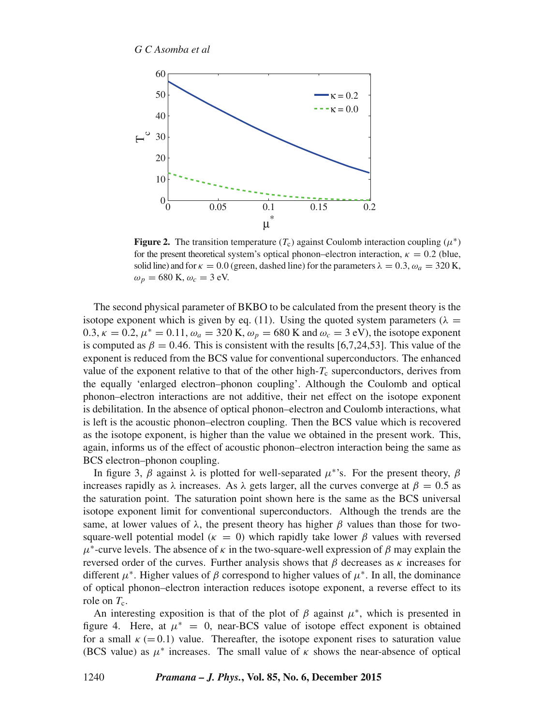

**Figure 2.** The transition temperature  $(T_c)$  against Coulomb interaction coupling  $(\mu^*)$ for the present theoretical system's optical phonon–electron interaction,  $\kappa = 0.2$  (blue, solid line) and for  $\kappa = 0.0$  (green, dashed line) for the parameters  $\lambda = 0.3$ ,  $\omega_a = 320$  K,  $\omega_p = 680$  K,  $\omega_c = 3$  eV.

The second physical parameter of BKBO to be calculated from the present theory is the isotope exponent which is given by eq. (11). Using the quoted system parameters ( $\lambda =$ 0.3,  $\kappa = 0.2$ ,  $\mu^* = 0.11$ ,  $\omega_a = 320$  K,  $\omega_p = 680$  K and  $\omega_c = 3$  eV), the isotope exponent is computed as  $\beta = 0.46$ . This is consistent with the results [6,7,24,53]. This value of the exponent is reduced from the BCS value for conventional superconductors. The enhanced value of the exponent relative to that of the other high- $T_c$  superconductors, derives from the equally 'enlarged electron–phonon coupling'. Although the Coulomb and optical phonon–electron interactions are not additive, their net effect on the isotope exponent is debilitation. In the absence of optical phonon–electron and Coulomb interactions, what is left is the acoustic phonon–electron coupling. Then the BCS value which is recovered as the isotope exponent, is higher than the value we obtained in the present work. This, again, informs us of the effect of acoustic phonon–electron interaction being the same as BCS electron–phonon coupling.

In figure 3,  $\beta$  against  $\lambda$  is plotted for well-separated  $\mu^*$ 's. For the present theory,  $\beta$ increases rapidly as  $\lambda$  increases. As  $\lambda$  gets larger, all the curves converge at  $\beta = 0.5$  as the saturation point. The saturation point shown here is the same as the BCS universal isotope exponent limit for conventional superconductors. Although the trends are the same, at lower values of  $\lambda$ , the present theory has higher  $\beta$  values than those for twosquare-well potential model ( $\kappa = 0$ ) which rapidly take lower  $\beta$  values with reversed  $\mu^*$ -curve levels. The absence of  $\kappa$  in the two-square-well expression of  $\beta$  may explain the reversed order of the curves. Further analysis shows that  $\beta$  decreases as  $\kappa$  increases for different  $\mu^*$ . Higher values of  $\beta$  correspond to higher values of  $\mu^*$ . In all, the dominance of optical phonon–electron interaction reduces isotope exponent, a reverse effect to its role on  $T_c$ .

An interesting exposition is that of the plot of  $\beta$  against  $\mu^*$ , which is presented in figure 4. Here, at  $\mu^* = 0$ , near-BCS value of isotope effect exponent is obtained for a small  $\kappa$  (= 0.1) value. Thereafter, the isotope exponent rises to saturation value (BCS value) as  $\mu^*$  increases. The small value of  $\kappa$  shows the near-absence of optical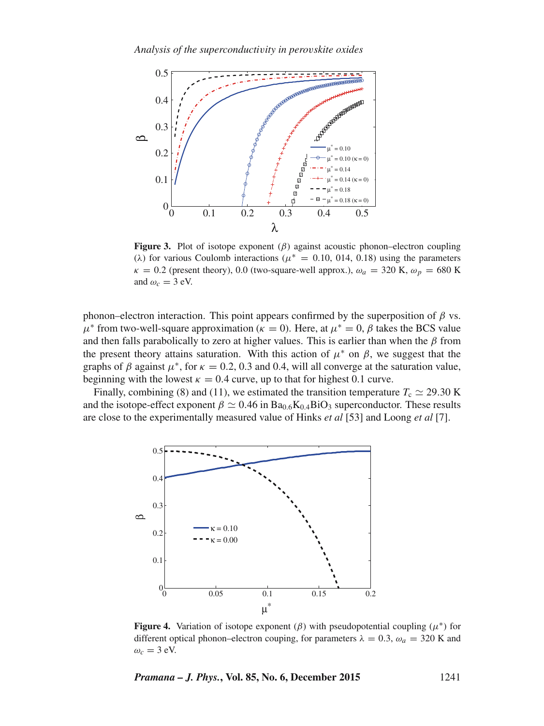*Analysis of the superconducti*v*ity in pero*v*skite oxides*



**Figure 3.** Plot of isotope exponent  $(\beta)$  against acoustic phonon–electron coupling ( $\lambda$ ) for various Coulomb interactions ( $\mu^* = 0.10, 0.14, 0.18$ ) using the parameters  $\kappa = 0.2$  (present theory), 0.0 (two-square-well approx.),  $\omega_a = 320$  K,  $\omega_p = 680$  K and  $\omega_c = 3$  eV.

phonon–electron interaction. This point appears confirmed by the superposition of  $β$  vs.  $\mu^*$  from two-well-square approximation ( $\kappa = 0$ ). Here, at  $\mu^* = 0$ ,  $\beta$  takes the BCS value and then falls parabolically to zero at higher values. This is earlier than when the  $\beta$  from the present theory attains saturation. With this action of  $\mu^*$  on  $\beta$ , we suggest that the graphs of  $\beta$  against  $\mu^*$ , for  $\kappa = 0.2, 0.3$  and 0.4, will all converge at the saturation value, beginning with the lowest  $\kappa = 0.4$  curve, up to that for highest 0.1 curve.

Finally, combining (8) and (11), we estimated the transition temperature  $T_c \simeq 29.30$  K and the isotope-effect exponent  $\beta \simeq 0.46$  in Ba<sub>0.6</sub>K<sub>0.4</sub>BiO<sub>3</sub> superconductor. These results are close to the experimentally measured value of Hinks *et al* [53] and Loong *et al* [7].



**Figure 4.** Variation of isotope exponent  $(\beta)$  with pseudopotential coupling  $(\mu^*)$  for different optical phonon–electron couping, for parameters  $\lambda = 0.3$ ,  $\omega_a = 320$  K and  $\omega_c = 3$  eV.

*Pramana – J. Phys.***, Vol. 85, No. 6, December 2015** 1241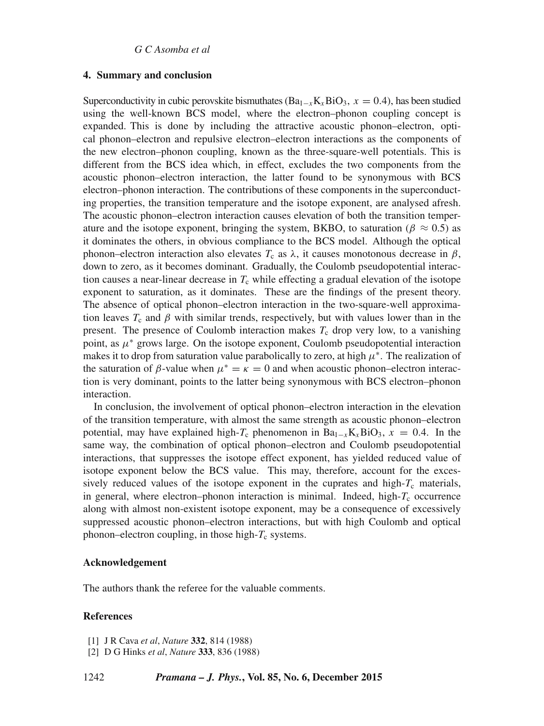## **4. Summary and conclusion**

Superconductivity in cubic perovskite bismuthates  $(Ba_{1-x}K_xBiO_3, x = 0.4)$ , has been studied using the well-known BCS model, where the electron–phonon coupling concept is expanded. This is done by including the attractive acoustic phonon–electron, optical phonon–electron and repulsive electron–electron interactions as the components of the new electron–phonon coupling, known as the three-square-well potentials. This is different from the BCS idea which, in effect, excludes the two components from the acoustic phonon–electron interaction, the latter found to be synonymous with BCS electron–phonon interaction. The contributions of these components in the superconducting properties, the transition temperature and the isotope exponent, are analysed afresh. The acoustic phonon–electron interaction causes elevation of both the transition temperature and the isotope exponent, bringing the system, BKBO, to saturation ( $\beta \approx 0.5$ ) as it dominates the others, in obvious compliance to the BCS model. Although the optical phonon–electron interaction also elevates  $T_c$  as λ, it causes monotonous decrease in β, down to zero, as it becomes dominant. Gradually, the Coulomb pseudopotential interaction causes a near-linear decrease in  $T_c$  while effecting a gradual elevation of the isotope exponent to saturation, as it dominates. These are the findings of the present theory. The absence of optical phonon–electron interaction in the two-square-well approximation leaves  $T_c$  and  $\beta$  with similar trends, respectively, but with values lower than in the present. The presence of Coulomb interaction makes  $T_c$  drop very low, to a vanishing point, as  $\mu^*$  grows large. On the isotope exponent, Coulomb pseudopotential interaction makes it to drop from saturation value parabolically to zero, at high  $\mu^*$ . The realization of the saturation of  $\beta$ -value when  $\mu^* = \kappa = 0$  and when acoustic phonon–electron interaction is very dominant, points to the latter being synonymous with BCS electron–phonon interaction.

In conclusion, the involvement of optical phonon–electron interaction in the elevation of the transition temperature, with almost the same strength as acoustic phonon–electron potential, may have explained high-T<sub>c</sub> phenomenon in Ba<sub>1–x</sub>K<sub>x</sub>BiO<sub>3</sub>, x = 0.4. In the same way, the combination of optical phonon–electron and Coulomb pseudopotential interactions, that suppresses the isotope effect exponent, has yielded reduced value of isotope exponent below the BCS value. This may, therefore, account for the excessively reduced values of the isotope exponent in the cuprates and high- $T_c$  materials, in general, where electron–phonon interaction is minimal. Indeed, high- $T_c$  occurrence along with almost non-existent isotope exponent, may be a consequence of excessively suppressed acoustic phonon–electron interactions, but with high Coulomb and optical phonon–electron coupling, in those high- $T_c$  systems.

#### **Acknowledgement**

The authors thank the referee for the valuable comments.

# **References**

<sup>[1]</sup> J R Cava *et al*, *Nature* **332**, 814 (1988)

<sup>[2]</sup> D G Hinks *et al*, *Nature* **333**, 836 (1988)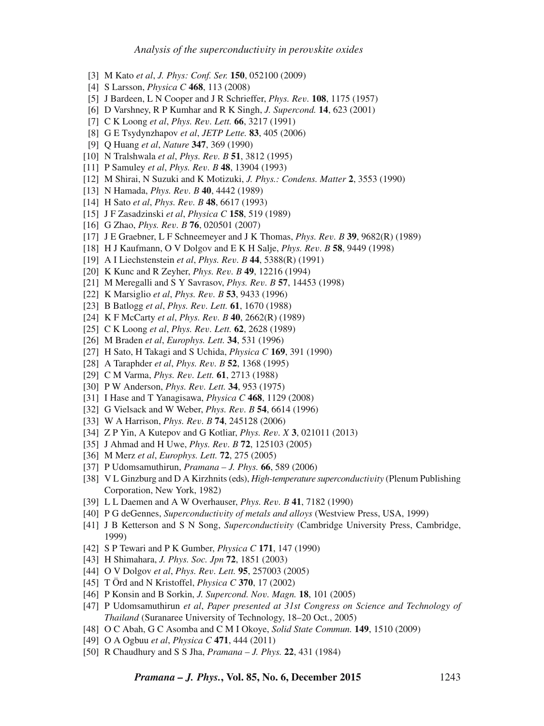- [3] M Kato *et al*, *J. Phys: Conf. Ser.* **150**, 052100 (2009)
- [4] S Larsson, *Physica C* **468**, 113 (2008)
- [5] J Bardeen, L N Cooper and J R Schrieffer, *Phys. Re*v*.* **108**, 1175 (1957)
- [6] D Varshney, R P Kumhar and R K Singh, *J. Supercond.* **14**, 623 (2001)
- [7] C K Loong *et al*, *Phys. Re*v*. Lett.* **66**, 3217 (1991)
- [8] G E Tsydynzhapov *et al*, *JETP Lette.* **83**, 405 (2006)
- [9] Q Huang *et al*, *Nature* **347**, 369 (1990)
- [10] N Tralshwala *et al*, *Phys. Re*v*. B* **51**, 3812 (1995)
- [11] P Samuley *et al*, *Phys. Re*v*. B* **48**, 13904 (1993)
- [12] M Shirai, N Suzuki and K Motizuki, *J. Phys.: Condens. Matter* **2**, 3553 (1990)
- [13] N Hamada, *Phys. Re*v*. B* **40**, 4442 (1989)
- [14] H Sato *et al*, *Phys. Re*v*. B* **48**, 6617 (1993)
- [15] J F Zasadzinski *et al*, *Physica C* **158**, 519 (1989)
- [16] G Zhao, *Phys. Re*v*. B* **76**, 020501 (2007)
- [17] J E Graebner, L F Schneemeyer and J K Thomas, *Phys. Re*v*. B* **39**, 9682(R) (1989)
- [18] H J Kaufmann, O V Dolgov and E K H Salje, *Phys. Re*v*. B* **58**, 9449 (1998)
- [19] A I Liechstenstein *et al*, *Phys. Re*v*. B* **44**, 5388(R) (1991)
- [20] K Kunc and R Zeyher, *Phys. Re*v*. B* **49**, 12216 (1994)
- [21] M Meregalli and S Y Savrasov, *Phys. Re*v*. B* **57**, 14453 (1998)
- [22] K Marsiglio *et al*, *Phys. Re*v*. B* **53**, 9433 (1996)
- [23] B Batlogg *et al*, *Phys. Re*v*. Lett.* **61**, 1670 (1988)
- [24] K F McCarty *et al*, *Phys. Re*v*. B* **40**, 2662(R) (1989)
- [25] C K Loong *et al*, *Phys. Re*v*. Lett.* **62**, 2628 (1989)
- [26] M Braden *et al*, *Europhys. Lett.* **34**, 531 (1996)
- [27] H Sato, H Takagi and S Uchida, *Physica C* **169**, 391 (1990)
- [28] A Taraphder *et al*, *Phys. Re*v*. B* **52**, 1368 (1995)
- [29] C M Varma, *Phys. Re*v*. Lett.* **61**, 2713 (1988)
- [30] P W Anderson, *Phys. Re*v*. Lett.* **34**, 953 (1975)
- [31] I Hase and T Yanagisawa, *Physica C* **468**, 1129 (2008)
- [32] G Vielsack and W Weber, *Phys. Re*v*. B* **54**, 6614 (1996)
- [33] W A Harrison, *Phys. Re*v*. B* **74**, 245128 (2006)
- [34] Z P Yin, A Kutepov and G Kotliar, *Phys. Re*v*. X* **3**, 021011 (2013)
- [35] J Ahmad and H Uwe, *Phys. Re*v*. B* **72**, 125103 (2005)
- [36] M Merz *et al*, *Europhys. Lett.* **72**, 275 (2005)
- [37] P Udomsamuthirun, *Pramana J. Phys.* **66**, 589 (2006)
- [38] V L Ginzburg and D A Kirzhnits (eds), *High-temperature superconducti*v*ity* (Plenum Publishing Corporation, New York, 1982)
- [39] L L Daemen and A W Overhauser, *Phys. Re*v*. B* **41**, 7182 (1990)
- [40] P G deGennes, *Superconducti*v*ity of metals and alloys* (Westview Press, USA, 1999)
- [41] J B Ketterson and S N Song, *Superconducti*v*ity* (Cambridge University Press, Cambridge, 1999)
- [42] S P Tewari and P K Gumber, *Physica C* **171**, 147 (1990)
- [43] H Shimahara, *J. Phys. Soc. Jpn* **72**, 1851 (2003)
- [44] O V Dolgov *et al*, *Phys. Re*v*. Lett.* **95**, 257003 (2005)
- [45] T Örd and N Kristoffel, *Physica C* **370**, 17 (2002)
- [46] P Konsin and B Sorkin, *J. Supercond. No*v*. Magn.* **18**, 101 (2005)
- [47] P Udomsamuthirun *et al*, *Paper presented at 31st Congress on Science and Technology of Thailand* (Suranaree University of Technology, 18–20 Oct., 2005)
- [48] O C Abah, G C Asomba and C M I Okoye, *Solid State Commun.* **149**, 1510 (2009)
- [49] O A Ogbuu *et al*, *Physica C* **471**, 444 (2011)
- [50] R Chaudhury and S S Jha, *Pramana J. Phys.* **22**, 431 (1984)